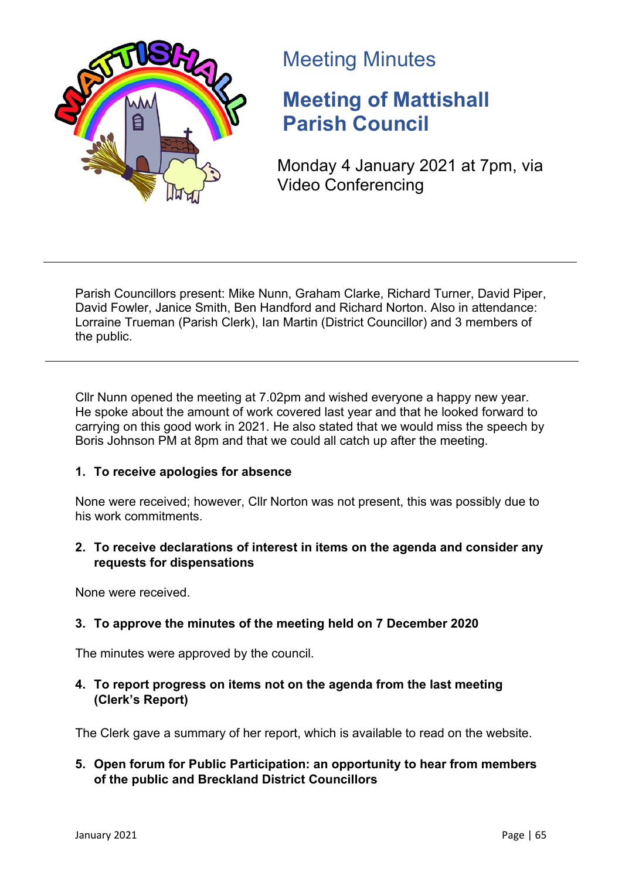

# Meeting Minutes

# **Meeting of Mattishall Parish Council**

Monday 4 January 2021 at 7pm, via Video Conferencing

Parish Councillors present: Mike Nunn, Graham Clarke, Richard Turner, David Piper, David Fowler, Janice Smith, Ben Handford and Richard Norton. Also in attendance: Lorraine Trueman (Parish Clerk), Ian Martin (District Councillor) and 3 members of the public.

Cllr Nunn opened the meeting at 7.02pm and wished everyone a happy new year. He spoke about the amount of work covered last year and that he looked forward to carrying on this good work in 2021. He also stated that we would miss the speech by Boris Johnson PM at 8pm and that we could all catch up after the meeting.

# **1. To receive apologies for absence**

None were received; however, Cllr Norton was not present, this was possibly due to his work commitments.

# **2. To receive declarations of interest in items on the agenda and consider any requests for dispensations**

None were received.

# **3. To approve the minutes of the meeting held on 7 December 2020**

The minutes were approved by the council.

# **4. To report progress on items not on the agenda from the last meeting (Clerk's Report)**

The Clerk gave a summary of her report, which is available to read on the website.

# **5. Open forum for Public Participation: an opportunity to hear from members of the public and Breckland District Councillors**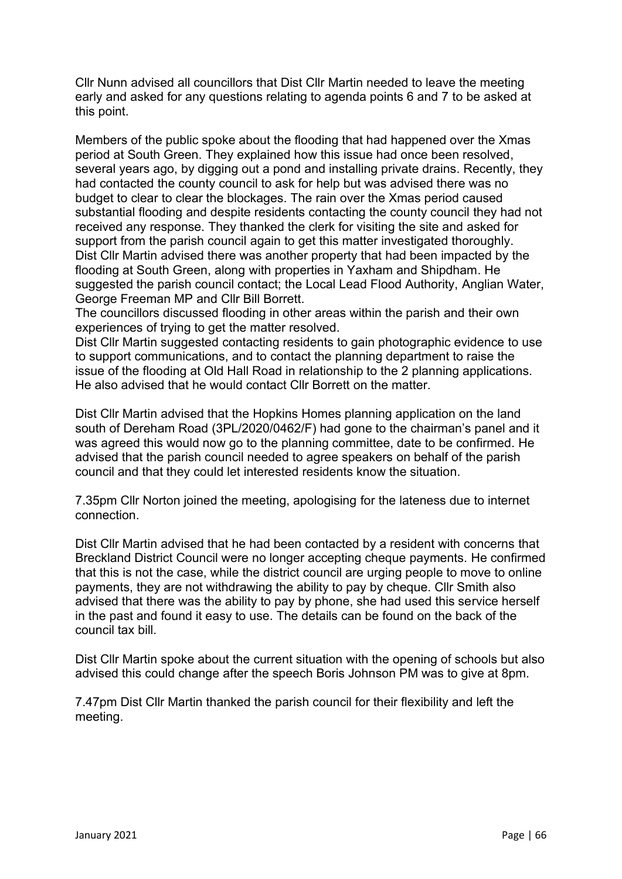Cllr Nunn advised all councillors that Dist Cllr Martin needed to leave the meeting early and asked for any questions relating to agenda points 6 and 7 to be asked at this point.

Members of the public spoke about the flooding that had happened over the Xmas period at South Green. They explained how this issue had once been resolved, several years ago, by digging out a pond and installing private drains. Recently, they had contacted the county council to ask for help but was advised there was no budget to clear to clear the blockages. The rain over the Xmas period caused substantial flooding and despite residents contacting the county council they had not received any response. They thanked the clerk for visiting the site and asked for support from the parish council again to get this matter investigated thoroughly. Dist Cllr Martin advised there was another property that had been impacted by the flooding at South Green, along with properties in Yaxham and Shipdham. He suggested the parish council contact; the Local Lead Flood Authority, Anglian Water, George Freeman MP and Cllr Bill Borrett.

The councillors discussed flooding in other areas within the parish and their own experiences of trying to get the matter resolved.

Dist Cllr Martin suggested contacting residents to gain photographic evidence to use to support communications, and to contact the planning department to raise the issue of the flooding at Old Hall Road in relationship to the 2 planning applications. He also advised that he would contact Cllr Borrett on the matter.

Dist Cllr Martin advised that the Hopkins Homes planning application on the land south of Dereham Road (3PL/2020/0462/F) had gone to the chairman's panel and it was agreed this would now go to the planning committee, date to be confirmed. He advised that the parish council needed to agree speakers on behalf of the parish council and that they could let interested residents know the situation.

7.35pm Cllr Norton joined the meeting, apologising for the lateness due to internet connection.

Dist Cllr Martin advised that he had been contacted by a resident with concerns that Breckland District Council were no longer accepting cheque payments. He confirmed that this is not the case, while the district council are urging people to move to online payments, they are not withdrawing the ability to pay by cheque. Cllr Smith also advised that there was the ability to pay by phone, she had used this service herself in the past and found it easy to use. The details can be found on the back of the council tax bill.

Dist Cllr Martin spoke about the current situation with the opening of schools but also advised this could change after the speech Boris Johnson PM was to give at 8pm.

7.47pm Dist Cllr Martin thanked the parish council for their flexibility and left the meeting.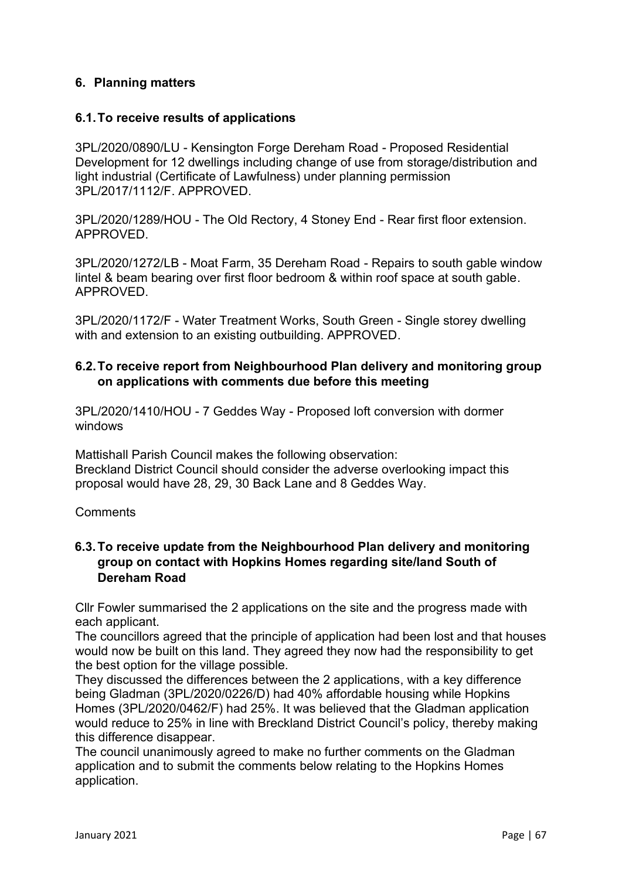# **6. Planning matters**

#### **6.1.To receive results of applications**

3PL/2020/0890/LU - Kensington Forge Dereham Road - Proposed Residential Development for 12 dwellings including change of use from storage/distribution and light industrial (Certificate of Lawfulness) under planning permission 3PL/2017/1112/F. APPROVED.

3PL/2020/1289/HOU - The Old Rectory, 4 Stoney End - Rear first floor extension. APPROVED.

3PL/2020/1272/LB - Moat Farm, 35 Dereham Road - Repairs to south gable window lintel & beam bearing over first floor bedroom & within roof space at south gable. APPROVED.

3PL/2020/1172/F - Water Treatment Works, South Green - Single storey dwelling with and extension to an existing outbuilding. APPROVED.

# **6.2.To receive report from Neighbourhood Plan delivery and monitoring group on applications with comments due before this meeting**

3PL/2020/1410/HOU - 7 Geddes Way - Proposed loft conversion with dormer windows

Mattishall Parish Council makes the following observation: Breckland District Council should consider the adverse overlooking impact this proposal would have 28, 29, 30 Back Lane and 8 Geddes Way.

**Comments** 

# **6.3.To receive update from the Neighbourhood Plan delivery and monitoring group on contact with Hopkins Homes regarding site/land South of Dereham Road**

Cllr Fowler summarised the 2 applications on the site and the progress made with each applicant.

The councillors agreed that the principle of application had been lost and that houses would now be built on this land. They agreed they now had the responsibility to get the best option for the village possible.

They discussed the differences between the 2 applications, with a key difference being Gladman (3PL/2020/0226/D) had 40% affordable housing while Hopkins Homes (3PL/2020/0462/F) had 25%. It was believed that the Gladman application would reduce to 25% in line with Breckland District Council's policy, thereby making this difference disappear.

The council unanimously agreed to make no further comments on the Gladman application and to submit the comments below relating to the Hopkins Homes application.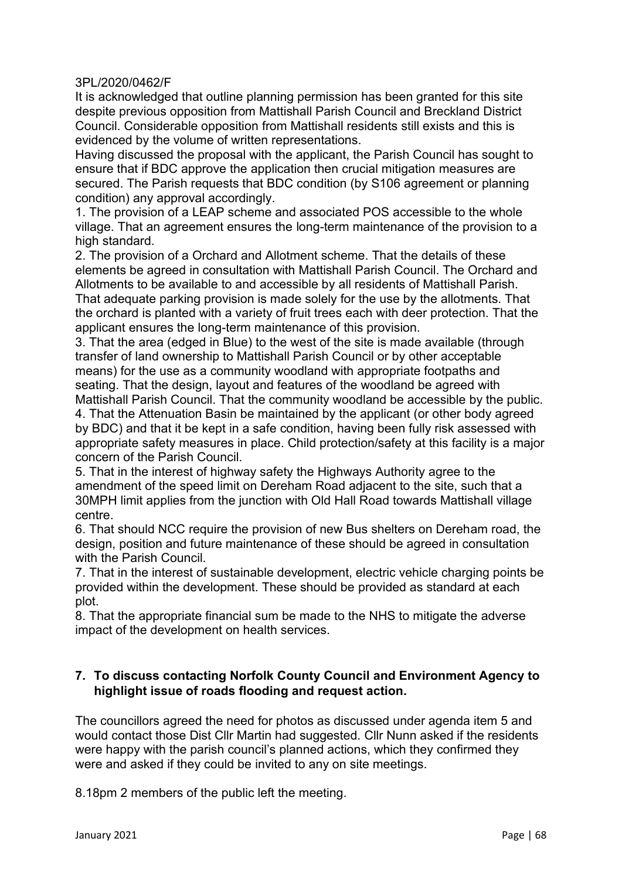#### 3PL/2020/0462/F

It is acknowledged that outline planning permission has been granted for this site despite previous opposition from Mattishall Parish Council and Breckland District Council. Considerable opposition from Mattishall residents still exists and this is evidenced by the volume of written representations.

Having discussed the proposal with the applicant, the Parish Council has sought to ensure that if BDC approve the application then crucial mitigation measures are secured. The Parish requests that BDC condition (by S106 agreement or planning condition) any approval accordingly.

1. The provision of a LEAP scheme and associated POS accessible to the whole village. That an agreement ensures the long-term maintenance of the provision to a high standard.

2. The provision of a Orchard and Allotment scheme. That the details of these elements be agreed in consultation with Mattishall Parish Council. The Orchard and Allotments to be available to and accessible by all residents of Mattishall Parish. That adequate parking provision is made solely for the use by the allotments. That the orchard is planted with a variety of fruit trees each with deer protection. That the applicant ensures the long-term maintenance of this provision.

3. That the area (edged in Blue) to the west of the site is made available (through transfer of land ownership to Mattishall Parish Council or by other acceptable means) for the use as a community woodland with appropriate footpaths and seating. That the design, layout and features of the woodland be agreed with Mattishall Parish Council. That the community woodland be accessible by the public.

4. That the Attenuation Basin be maintained by the applicant (or other body agreed by BDC) and that it be kept in a safe condition, having been fully risk assessed with appropriate safety measures in place. Child protection/safety at this facility is a major concern of the Parish Council.

5. That in the interest of highway safety the Highways Authority agree to the amendment of the speed limit on Dereham Road adjacent to the site, such that a 30MPH limit applies from the junction with Old Hall Road towards Mattishall village centre.

6. That should NCC require the provision of new Bus shelters on Dereham road, the design, position and future maintenance of these should be agreed in consultation with the Parish Council.

7. That in the interest of sustainable development, electric vehicle charging points be provided within the development. These should be provided as standard at each plot.

8. That the appropriate financial sum be made to the NHS to mitigate the adverse impact of the development on health services.

# **7. To discuss contacting Norfolk County Council and Environment Agency to highlight issue of roads flooding and request action.**

The councillors agreed the need for photos as discussed under agenda item 5 and would contact those Dist Cllr Martin had suggested. Cllr Nunn asked if the residents were happy with the parish council's planned actions, which they confirmed they were and asked if they could be invited to any on site meetings.

8.18pm 2 members of the public left the meeting.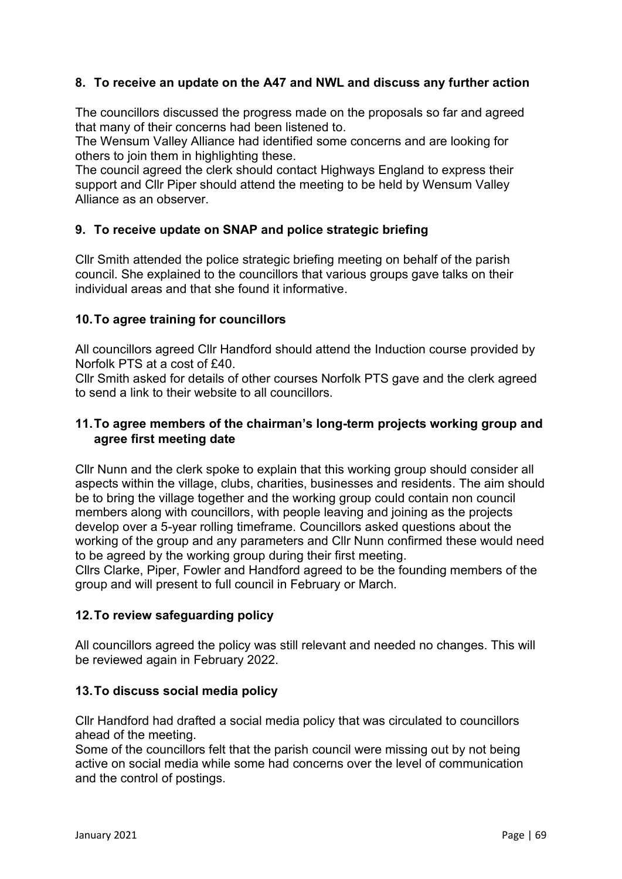# **8. To receive an update on the A47 and NWL and discuss any further action**

The councillors discussed the progress made on the proposals so far and agreed that many of their concerns had been listened to.

The Wensum Valley Alliance had identified some concerns and are looking for others to join them in highlighting these.

The council agreed the clerk should contact Highways England to express their support and Cllr Piper should attend the meeting to be held by Wensum Valley Alliance as an observer.

# **9. To receive update on SNAP and police strategic briefing**

Cllr Smith attended the police strategic briefing meeting on behalf of the parish council. She explained to the councillors that various groups gave talks on their individual areas and that she found it informative.

#### **10.To agree training for councillors**

All councillors agreed Cllr Handford should attend the Induction course provided by Norfolk PTS at a cost of £40.

Cllr Smith asked for details of other courses Norfolk PTS gave and the clerk agreed to send a link to their website to all councillors.

# **11.To agree members of the chairman's long-term projects working group and agree first meeting date**

Cllr Nunn and the clerk spoke to explain that this working group should consider all aspects within the village, clubs, charities, businesses and residents. The aim should be to bring the village together and the working group could contain non council members along with councillors, with people leaving and joining as the projects develop over a 5-year rolling timeframe. Councillors asked questions about the working of the group and any parameters and Cllr Nunn confirmed these would need to be agreed by the working group during their first meeting.

Cllrs Clarke, Piper, Fowler and Handford agreed to be the founding members of the group and will present to full council in February or March.

#### **12.To review safeguarding policy**

All councillors agreed the policy was still relevant and needed no changes. This will be reviewed again in February 2022.

#### **13.To discuss social media policy**

Cllr Handford had drafted a social media policy that was circulated to councillors ahead of the meeting.

Some of the councillors felt that the parish council were missing out by not being active on social media while some had concerns over the level of communication and the control of postings.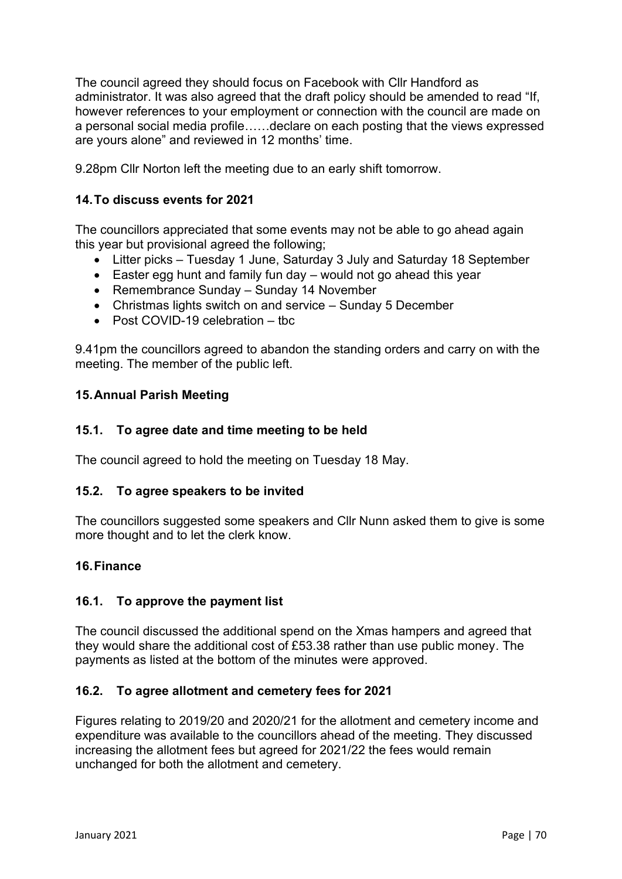The council agreed they should focus on Facebook with Cllr Handford as administrator. It was also agreed that the draft policy should be amended to read "If, however references to your employment or connection with the council are made on a personal social media profile……declare on each posting that the views expressed are yours alone" and reviewed in 12 months' time.

9.28pm Cllr Norton left the meeting due to an early shift tomorrow.

#### **14.To discuss events for 2021**

The councillors appreciated that some events may not be able to go ahead again this year but provisional agreed the following;

- Litter picks Tuesday 1 June, Saturday 3 July and Saturday 18 September
- Easter egg hunt and family fun day would not go ahead this year
- Remembrance Sunday Sunday 14 November
- Christmas lights switch on and service Sunday 5 December
- Post COVID-19 celebration the

9.41pm the councillors agreed to abandon the standing orders and carry on with the meeting. The member of the public left.

#### **15.Annual Parish Meeting**

#### **15.1. To agree date and time meeting to be held**

The council agreed to hold the meeting on Tuesday 18 May.

#### **15.2. To agree speakers to be invited**

The councillors suggested some speakers and Cllr Nunn asked them to give is some more thought and to let the clerk know.

#### **16.Finance**

#### **16.1. To approve the payment list**

The council discussed the additional spend on the Xmas hampers and agreed that they would share the additional cost of £53.38 rather than use public money. The payments as listed at the bottom of the minutes were approved.

#### **16.2. To agree allotment and cemetery fees for 2021**

Figures relating to 2019/20 and 2020/21 for the allotment and cemetery income and expenditure was available to the councillors ahead of the meeting. They discussed increasing the allotment fees but agreed for 2021/22 the fees would remain unchanged for both the allotment and cemetery.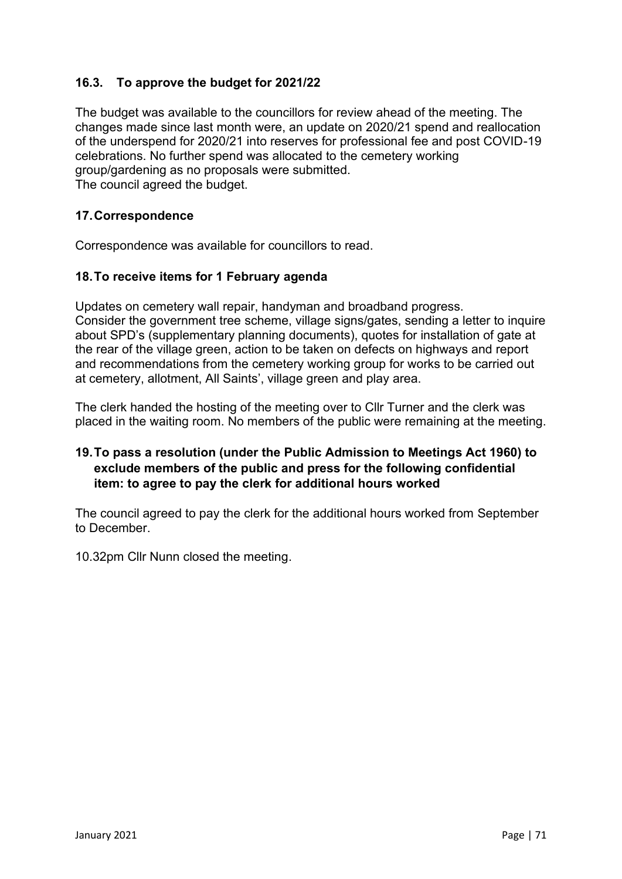# **16.3. To approve the budget for 2021/22**

The budget was available to the councillors for review ahead of the meeting. The changes made since last month were, an update on 2020/21 spend and reallocation of the underspend for 2020/21 into reserves for professional fee and post COVID-19 celebrations. No further spend was allocated to the cemetery working group/gardening as no proposals were submitted. The council agreed the budget.

#### **17.Correspondence**

Correspondence was available for councillors to read.

#### **18.To receive items for 1 February agenda**

Updates on cemetery wall repair, handyman and broadband progress. Consider the government tree scheme, village signs/gates, sending a letter to inquire about SPD's (supplementary planning documents), quotes for installation of gate at the rear of the village green, action to be taken on defects on highways and report and recommendations from the cemetery working group for works to be carried out at cemetery, allotment, All Saints', village green and play area.

The clerk handed the hosting of the meeting over to Cllr Turner and the clerk was placed in the waiting room. No members of the public were remaining at the meeting.

# **19.To pass a resolution (under the Public Admission to Meetings Act 1960) to exclude members of the public and press for the following confidential item: to agree to pay the clerk for additional hours worked**

The council agreed to pay the clerk for the additional hours worked from September to December.

10.32pm Cllr Nunn closed the meeting.